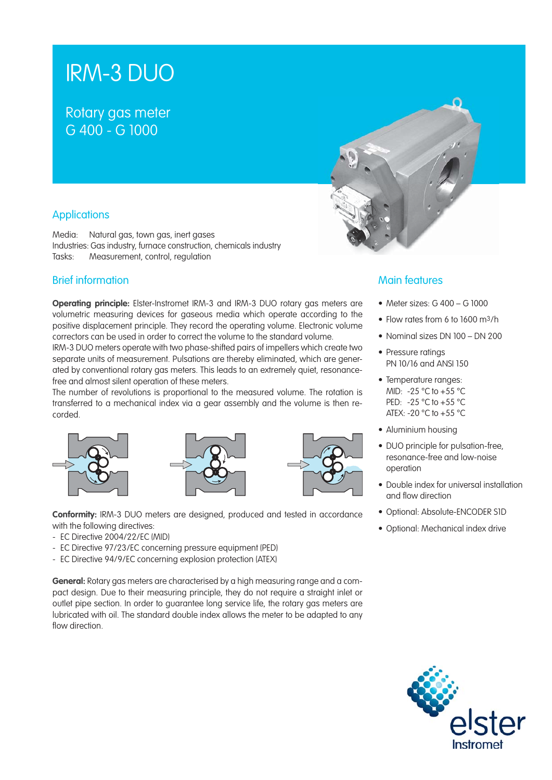# IRM-3 DUO

# Rotary gas meter G 400 - G 1000



# **Applications**

Media: Natural gas, town gas, inert gases Industries: Gas industry, furnace construction, chemicals industry Tasks: Measurement, control, regulation

# Brief information

**Operating principle:** Elster-Instromet IRM-3 and IRM-3 DUO rotary gas meters are volumetric measuring devices for gaseous media which operate according to the positive displacement principle. They record the operating volume. Electronic volume correctors can be used in order to correct the volume to the standard volume.

IRM-3 DUO meters operate with two phase-shifted pairs of impellers which create two separate units of measurement. Pulsations are thereby eliminated, which are generated by conventional rotary gas meters. This leads to an extremely quiet, resonancefree and almost silent operation of these meters.

The number of revolutions is proportional to the measured volume. The rotation is transferred to a mechanical index via a gear assembly and the volume is then recorded.







**Conformity:** IRM-3 DUO meters are designed, produced and tested in accordance with the following directives:

- EC Directive 2004/22/EC (MID)
- EC Directive 97/23/EC concerning pressure equipment (PED)
- EC Directive 94/9/EC concerning explosion protection (ATEX)

**General:** Rotary gas meters are characterised by a high measuring range and a compact design. Due to their measuring principle, they do not require a straight inlet or outlet pipe section. In order to guarantee long service life, the rotary gas meters are lubricated with oil. The standard double index allows the meter to be adapted to any flow direction.

# Main features

- Meter sizes:  $G$  400  $G$  1000
- Flow rates from 6 to 1600 m<sup>3</sup>/h
- Nominal sizes DN 100 DN 200
- Pressure ratings PN 10/16 and ANSI 150
- Temperature ranges: MID: -25 °C to +55 °C PED: -25 °C to +55 °C ATEX: -20 °C to +55 °C
- Aluminium housing
- DUO principle for pulsation-free, resonance-free and low-noise operation
- Double index for universal installation and flow direction
- Optional: Absolute-ENCODER S1D
- Optional: Mechanical index drive

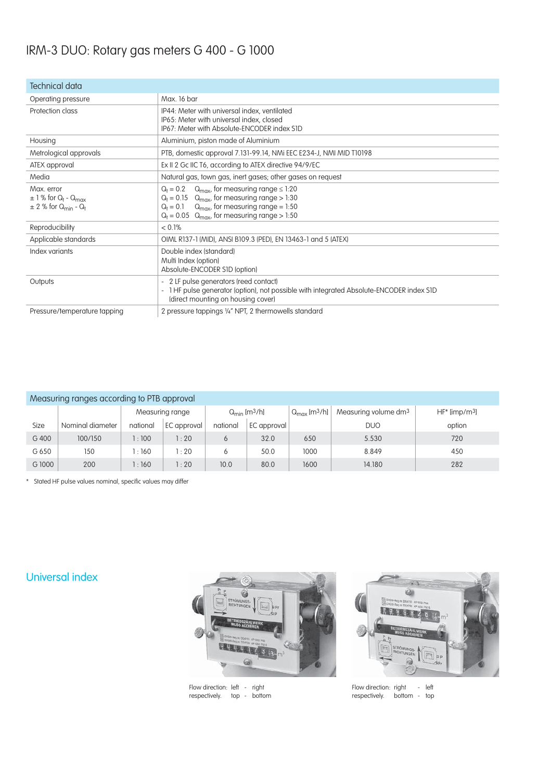# IRM-3 DUO: Rotary gas meters G 400 - G 1000

| Technical data                                                                                                   |                                                                                                                                                                                                                                                  |  |  |  |  |
|------------------------------------------------------------------------------------------------------------------|--------------------------------------------------------------------------------------------------------------------------------------------------------------------------------------------------------------------------------------------------|--|--|--|--|
| Operating pressure                                                                                               | Max. 16 bar                                                                                                                                                                                                                                      |  |  |  |  |
| Protection class                                                                                                 | IP44: Meter with universal index, ventilated<br>IP65: Meter with universal index, closed<br>IP67: Meter with Absolute-FNCODER index SID                                                                                                          |  |  |  |  |
| Housing                                                                                                          | Aluminium, piston made of Aluminium                                                                                                                                                                                                              |  |  |  |  |
| Metrological approvals                                                                                           | PTB, domestic approval 7.131-99.14, NMi EEC E234-J, NMI MID T10198                                                                                                                                                                               |  |  |  |  |
| ATEX approval                                                                                                    | Ex II 2 Gc IIC T6, according to ATEX directive 94/9/EC                                                                                                                                                                                           |  |  |  |  |
| Media                                                                                                            | Natural gas, town gas, inert gases; other gases on request                                                                                                                                                                                       |  |  |  |  |
| Max. error<br>$\pm$ 1 % for Q <sub>t</sub> - Q <sub>max</sub><br>$\pm$ 2 % for Q <sub>min</sub> - Q <sub>t</sub> | $Q_t = 0.2$ Q <sub>max</sub> , for measuring range $\leq 1.20$<br>$Q_t = 0.15$ Q <sub>max</sub> , for measuring range > 1:30<br>$Q_t = 0.1$ $Q_{max}$ , for measuring range = 1:50<br>$Q_t = 0.05$ Q <sub>max</sub> , for measuring range > 1:50 |  |  |  |  |
| Reproducibility                                                                                                  | $< 0.1\%$                                                                                                                                                                                                                                        |  |  |  |  |
| Applicable standards                                                                                             | OIML R137-1 (MID), ANSI B109.3 (PED), EN 13463-1 and 5 (ATEX)                                                                                                                                                                                    |  |  |  |  |
| Index variants                                                                                                   | Double index (standard)<br>Multi Index (option)<br>Absolute-ENCODER S1D (option)                                                                                                                                                                 |  |  |  |  |
| Outputs                                                                                                          | - 2 LF pulse generators (reed contact)<br>1 HF pulse generator (option), not possible with integrated Absolute-ENCODER index S1D<br>$\overline{\phantom{0}}$<br>(direct mounting on housing cover)                                               |  |  |  |  |
| Pressure/temperature tapping                                                                                     | 2 pressure tappings 1/4" NPT, 2 thermowells standard                                                                                                                                                                                             |  |  |  |  |

#### Measuring ranges according to PTB approval

| <u>in a display that is a second in the time order of the second in the second in the second in the second in the second in the second in the second in the second in the second in the second in the second in the second in th</u> |                  |                 |             |                                      |             |                                      |                                  |                              |  |  |  |  |
|--------------------------------------------------------------------------------------------------------------------------------------------------------------------------------------------------------------------------------------|------------------|-----------------|-------------|--------------------------------------|-------------|--------------------------------------|----------------------------------|------------------------------|--|--|--|--|
|                                                                                                                                                                                                                                      |                  | Measuring range |             | $Q_{\text{min}}$ [m <sup>3</sup> /h] |             | $Q_{\text{max}}$ [m <sup>3</sup> /h] | Measuring volume dm <sup>3</sup> | $HF^*$ [imp/m <sup>3</sup> ] |  |  |  |  |
| Size                                                                                                                                                                                                                                 | Nominal diameter | national        | EC approval | national                             | EC approval |                                      | <b>DUO</b>                       | option                       |  |  |  |  |
| G 400                                                                                                                                                                                                                                | 100/150          | :100            | : 20        |                                      | 32.0        | 650                                  | 5.530                            | 720                          |  |  |  |  |
| G 650                                                                                                                                                                                                                                | 150              | :160            | : 20        |                                      | 50.0        | 1000                                 | 8.849                            | 450                          |  |  |  |  |
| G 1000                                                                                                                                                                                                                               | 200              | :160            | : 20        | 10.0                                 | 80.0        | 1600                                 | 14.180                           | 282                          |  |  |  |  |

\* Stated HF pulse values nominal, specific values may differ

# Universal index



Flow direction: left - right respectively. top - bottom



Flow direction: right - left respectively. bottom - top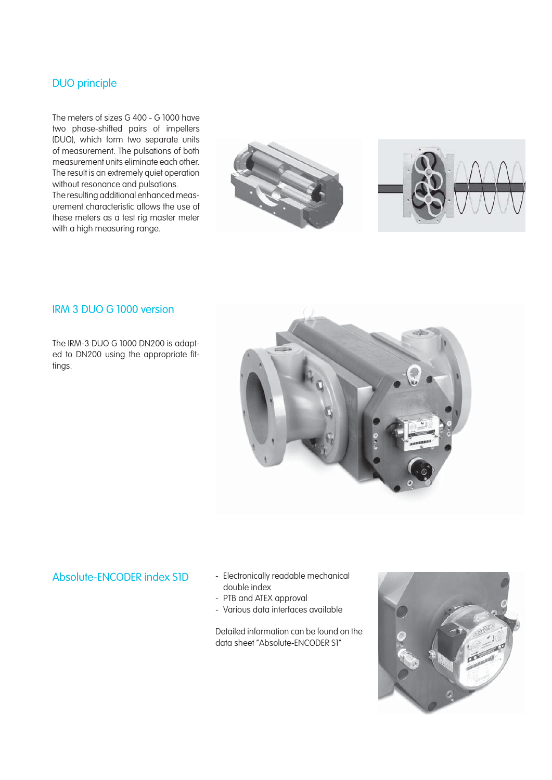# DUO principle

The meters of sizes G 400 - G 1000 have two phase-shifted pairs of impellers (DUO), which form two separate units of measurement. The pulsations of both measurement units eliminate each other. The result is an extremely quiet operation without resonance and pulsations. The resulting additional enhanced measurement characteristic allows the use of these meters as a test rig master meter with a high measuring range.





## IRM 3 DUO G 1000 version

The IRM-3 DUO G 1000 DN200 is adapted to DN200 using the appropriate fittings.



- Absolute-ENCODER index S1D Electronically readable mechanical double index
	- PTB and ATEX approval
	- Various data interfaces available

Detailed information can be found on the data sheet "Absolute-ENCODER S1"